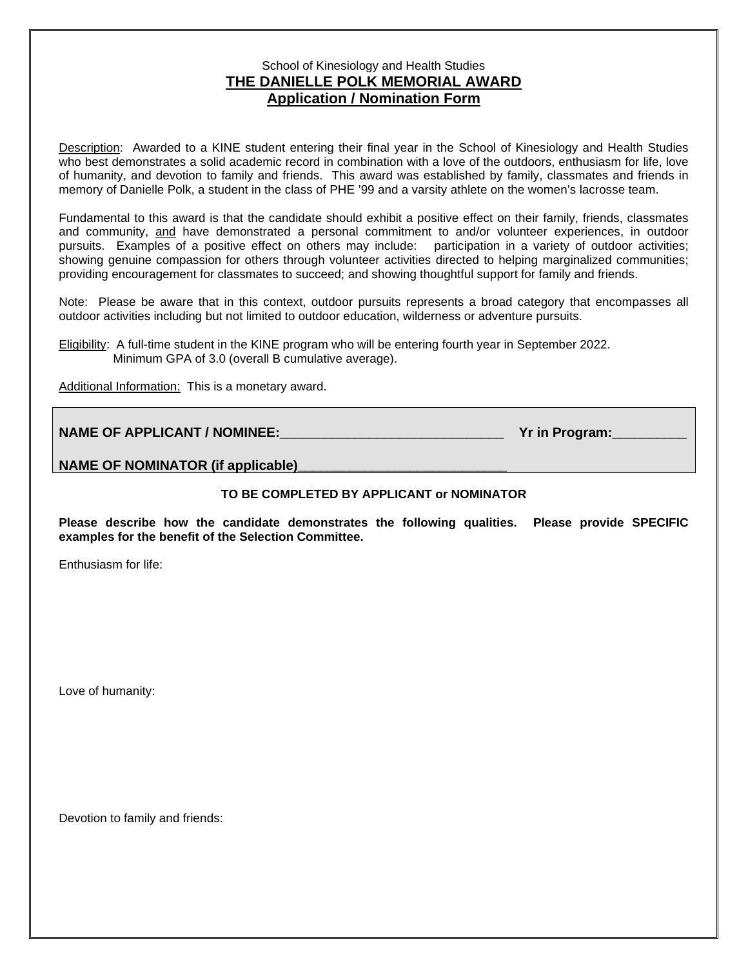## School of Kinesiology and Health Studies **THE DANIELLE POLK MEMORIAL AWARD Application / Nomination Form**

Description: Awarded to a KINE student entering their final year in the School of Kinesiology and Health Studies who best demonstrates a solid academic record in combination with a love of the outdoors, enthusiasm for life, love of humanity, and devotion to family and friends. This award was established by family, classmates and friends in memory of Danielle Polk, a student in the class of PHE '99 and a varsity athlete on the women's lacrosse team.

Fundamental to this award is that the candidate should exhibit a positive effect on their family, friends, classmates and community, and have demonstrated a personal commitment to and/or volunteer experiences, in outdoor pursuits. Examples of a positive effect on others may include: participation in a variety of outdoor activities; showing genuine compassion for others through volunteer activities directed to helping marginalized communities; providing encouragement for classmates to succeed; and showing thoughtful support for family and friends.

Note: Please be aware that in this context, outdoor pursuits represents a broad category that encompasses all outdoor activities including but not limited to outdoor education, wilderness or adventure pursuits.

Eligibility: A full-time student in the KINE program who will be entering fourth year in September 2022. Minimum GPA of 3.0 (overall B cumulative average).

Additional Information: This is a monetary award.

| <b>NAME OF APPLICANT / NOMINEE:</b> | Yr in Program: |
|-------------------------------------|----------------|
|                                     |                |

NAME OF NOMINATOR (if applicable)

## **TO BE COMPLETED BY APPLICANT or NOMINATOR**

**Please describe how the candidate demonstrates the following qualities. Please provide SPECIFIC examples for the benefit of the Selection Committee.**

Enthusiasm for life:

Love of humanity:

Devotion to family and friends: